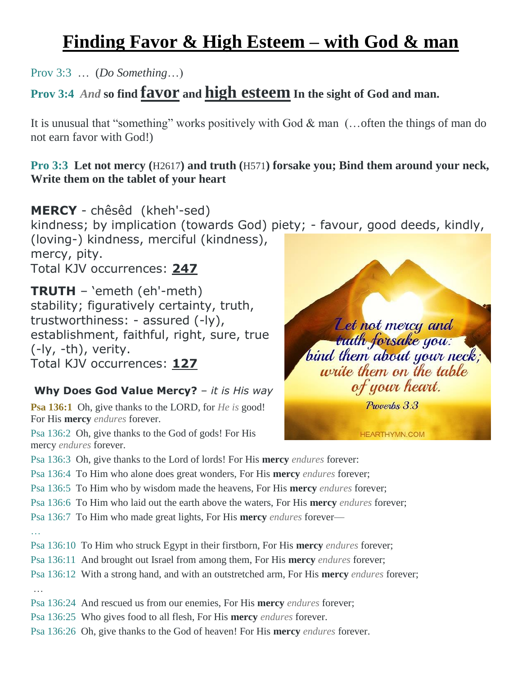# **Finding Favor & High Esteem – with God & man**

Prov 3:3 … (*Do Something*…)

## **Prov 3:4** *And* **so find favor and high esteem In the sight of God and man.**

It is unusual that "something" works positively with God & man (…often the things of man do not earn favor with God!)

#### **Pro 3:3 Let not mercy (**H2617**) and truth (**H571**) forsake you; Bind them around your neck, Write them on the tablet of your heart**

**MERCY** - chêsêd (kheh'-sed) kindness; by implication (towards God) piety; - favour, good deeds, kindly, (loving-) kindness, merciful (kindness), mercy, pity. Total KJV occurrences: **247**

**TRUTH** – 'emeth (eh'-meth) stability; figuratively certainty, truth, trustworthiness: - assured (-ly), establishment, faithful, right, sure, true (-ly, -th), verity. Total KJV occurrences: **127**

#### **Why Does God Value Mercy?** – *it is His way*

**Psa 136:1** Oh, give thanks to the LORD, for *He is* good! For His **mercy** *endures* forever.

Psa 136:2 Oh, give thanks to the God of gods! For His mercy *endures* forever.



**HEARTHYMN.COM** 

Psa 136:3 Oh, give thanks to the Lord of lords! For His **mercy** *endures* forever:

- Psa 136:4 To Him who alone does great wonders, For His **mercy** *endures* forever;
- Psa 136:5 To Him who by wisdom made the heavens, For His **mercy** *endures* forever;
- Psa 136:6 To Him who laid out the earth above the waters, For His **mercy** *endures* forever;
- Psa 136:7 To Him who made great lights, For His **mercy** *endures* forever—
- Psa 136:10 To Him who struck Egypt in their firstborn, For His **mercy** *endures* forever;
- Psa 136:11 And brought out Israel from among them, For His **mercy** *endures* forever;
- Psa 136:12 With a strong hand, and with an outstretched arm, For His **mercy** *endures* forever;

…

…

- Psa 136:24 And rescued us from our enemies, For His **mercy** *endures* forever;
- Psa 136:25 Who gives food to all flesh, For His **mercy** *endures* forever.
- Psa 136:26 Oh, give thanks to the God of heaven! For His **mercy** *endures* forever.